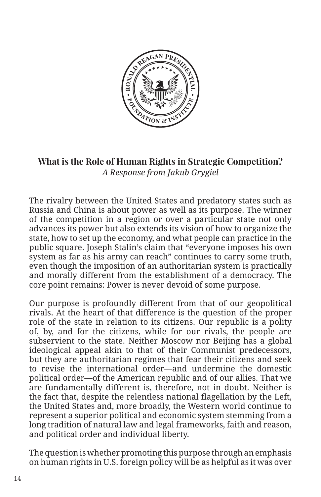

**What is the Role of Human Rights in Strategic Competition?**  *A Response from Jakub Grygiel*

The rivalry between the United States and predatory states such as Russia and China is about power as well as its purpose. The winner of the competition in a region or over a particular state not only advances its power but also extends its vision of how to organize the state, how to set up the economy, and what people can practice in the public square. Joseph Stalin's claim that "everyone imposes his own system as far as his army can reach" continues to carry some truth, even though the imposition of an authoritarian system is practically and morally different from the establishment of a democracy. The core point remains: Power is never devoid of some purpose.

Our purpose is profoundly different from that of our geopolitical rivals. At the heart of that difference is the question of the proper role of the state in relation to its citizens. Our republic is a polity of, by, and for the citizens, while for our rivals, the people are subservient to the state. Neither Moscow nor Beijing has a global ideological appeal akin to that of their Communist predecessors, but they are authoritarian regimes that fear their citizens and seek to revise the international order—and undermine the domestic political order—of the American republic and of our allies. That we are fundamentally different is, therefore, not in doubt. Neither is the fact that, despite the relentless national flagellation by the Left, the United States and, more broadly, the Western world continue to represent a superior political and economic system stemming from a long tradition of natural law and legal frameworks, faith and reason, and political order and individual liberty.

The question is whether promoting this purpose through an emphasis on human rights in U.S. foreign policy will be as helpful as it was over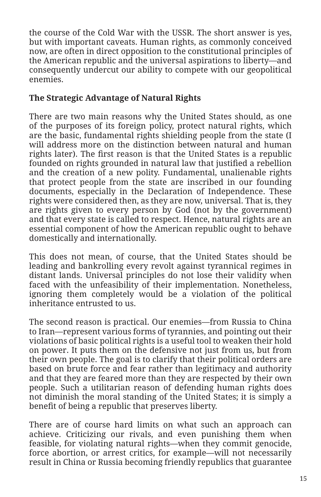the course of the Cold War with the USSR. The short answer is yes, but with important caveats. Human rights, as commonly conceived now, are often in direct opposition to the constitutional principles of the American republic and the universal aspirations to liberty—and consequently undercut our ability to compete with our geopolitical enemies.

## **The Strategic Advantage of Natural Rights**

There are two main reasons why the United States should, as one of the purposes of its foreign policy, protect natural rights, which are the basic, fundamental rights shielding people from the state (I will address more on the distinction between natural and human rights later). The first reason is that the United States is a republic founded on rights grounded in natural law that justified a rebellion and the creation of a new polity. Fundamental, unalienable rights that protect people from the state are inscribed in our founding documents, especially in the Declaration of Independence. These rights were considered then, as they are now, universal. That is, they are rights given to every person by God (not by the government) and that every state is called to respect. Hence, natural rights are an essential component of how the American republic ought to behave domestically and internationally.

This does not mean, of course, that the United States should be leading and bankrolling every revolt against tyrannical regimes in distant lands. Universal principles do not lose their validity when faced with the unfeasibility of their implementation. Nonetheless, ignoring them completely would be a violation of the political inheritance entrusted to us.

The second reason is practical. Our enemies—from Russia to China to Iran—represent various forms of tyrannies, and pointing out their violations of basic political rights is a useful tool to weaken their hold on power. It puts them on the defensive not just from us, but from their own people. The goal is to clarify that their political orders are based on brute force and fear rather than legitimacy and authority and that they are feared more than they are respected by their own people. Such a utilitarian reason of defending human rights does not diminish the moral standing of the United States; it is simply a benefit of being a republic that preserves liberty.

There are of course hard limits on what such an approach can achieve. Criticizing our rivals, and even punishing them when feasible, for violating natural rights—when they commit genocide, force abortion, or arrest critics, for example—will not necessarily result in China or Russia becoming friendly republics that guarantee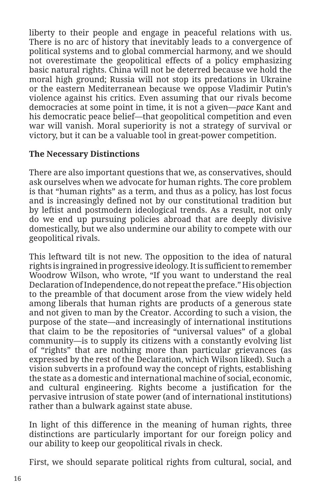liberty to their people and engage in peaceful relations with us. There is no arc of history that inevitably leads to a convergence of political systems and to global commercial harmony, and we should not overestimate the geopolitical effects of a policy emphasizing basic natural rights. China will not be deterred because we hold the moral high ground; Russia will not stop its predations in Ukraine or the eastern Mediterranean because we oppose Vladimir Putin's violence against his critics. Even assuming that our rivals become democracies at some point in time, it is not a given—*pace* Kant and his democratic peace belief—that geopolitical competition and even war will vanish. Moral superiority is not a strategy of survival or victory, but it can be a valuable tool in great-power competition.

## **The Necessary Distinctions**

There are also important questions that we, as conservatives, should ask ourselves when we advocate for human rights. The core problem is that "human rights" as a term, and thus as a policy, has lost focus and is increasingly defined not by our constitutional tradition but by leftist and postmodern ideological trends. As a result, not only do we end up pursuing policies abroad that are deeply divisive domestically, but we also undermine our ability to compete with our geopolitical rivals.

This leftward tilt is not new. The opposition to the idea of natural rights is ingrained in progressive ideology. It is sufficient to remember Woodrow Wilson, who wrote, "If you want to understand the real Declaration of Independence, do not repeat the preface." His objection to the preamble of that document arose from the view widely held among liberals that human rights are products of a generous state and not given to man by the Creator. According to such a vision, the purpose of the state—and increasingly of international institutions that claim to be the repositories of "universal values" of a global community—is to supply its citizens with a constantly evolving list of "rights" that are nothing more than particular grievances (as expressed by the rest of the Declaration, which Wilson liked). Such a vision subverts in a profound way the concept of rights, establishing the state as a domestic and international machine of social, economic, and cultural engineering. Rights become a justification for the pervasive intrusion of state power (and of international institutions) rather than a bulwark against state abuse.

In light of this difference in the meaning of human rights, three distinctions are particularly important for our foreign policy and our ability to keep our geopolitical rivals in check.

First, we should separate political rights from cultural, social, and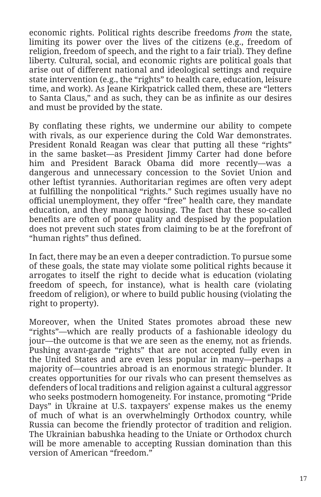economic rights. Political rights describe freedoms *from* the state, limiting its power over the lives of the citizens (e.g., freedom of religion, freedom of speech, and the right to a fair trial). They define liberty. Cultural, social, and economic rights are political goals that arise out of different national and ideological settings and require state intervention (e.g., the "rights" to health care, education, leisure time, and work). As Jeane Kirkpatrick called them, these are "letters to Santa Claus," and as such, they can be as infinite as our desires and must be provided by the state.

By conflating these rights, we undermine our ability to compete with rivals, as our experience during the Cold War demonstrates. President Ronald Reagan was clear that putting all these "rights" in the same basket—as President Jimmy Carter had done before him and President Barack Obama did more recently—was a dangerous and unnecessary concession to the Soviet Union and other leftist tyrannies. Authoritarian regimes are often very adept at fulfilling the nonpolitical "rights." Such regimes usually have no official unemployment, they offer "free" health care, they mandate education, and they manage housing. The fact that these so-called benefits are often of poor quality and despised by the population does not prevent such states from claiming to be at the forefront of "human rights" thus defined.

In fact, there may be an even a deeper contradiction. To pursue some of these goals, the state may violate some political rights because it arrogates to itself the right to decide what is education (violating freedom of speech, for instance), what is health care (violating freedom of religion), or where to build public housing (violating the right to property).

Moreover, when the United States promotes abroad these new "rights"—which are really products of a fashionable ideology du jour—the outcome is that we are seen as the enemy, not as friends. Pushing avant-garde "rights" that are not accepted fully even in the United States and are even less popular in many—perhaps a majority of—countries abroad is an enormous strategic blunder. It creates opportunities for our rivals who can present themselves as defenders of local traditions and religion against a cultural aggressor who seeks postmodern homogeneity. For instance, promoting "Pride Days" in Ukraine at U.S. taxpayers' expense makes us the enemy of much of what is an overwhelmingly Orthodox country, while Russia can become the friendly protector of tradition and religion. The Ukrainian babushka heading to the Uniate or Orthodox church will be more amenable to accepting Russian domination than this version of American "freedom."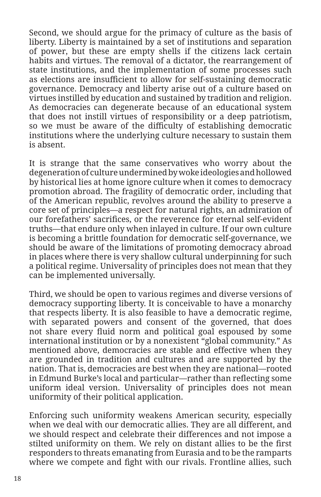Second, we should argue for the primacy of culture as the basis of liberty. Liberty is maintained by a set of institutions and separation of power, but these are empty shells if the citizens lack certain habits and virtues. The removal of a dictator, the rearrangement of state institutions, and the implementation of some processes such as elections are insufficient to allow for self-sustaining democratic governance. Democracy and liberty arise out of a culture based on virtues instilled by education and sustained by tradition and religion. As democracies can degenerate because of an educational system that does not instill virtues of responsibility or a deep patriotism, so we must be aware of the difficulty of establishing democratic institutions where the underlying culture necessary to sustain them is absent.

It is strange that the same conservatives who worry about the degeneration of culture undermined by woke ideologies and hollowed by historical lies at home ignore culture when it comes to democracy promotion abroad. The fragility of democratic order, including that of the American republic, revolves around the ability to preserve a core set of principles—a respect for natural rights, an admiration of our forefathers' sacrifices, or the reverence for eternal self-evident truths—that endure only when inlayed in culture. If our own culture is becoming a brittle foundation for democratic self-governance, we should be aware of the limitations of promoting democracy abroad in places where there is very shallow cultural underpinning for such a political regime. Universality of principles does not mean that they can be implemented universally.

Third, we should be open to various regimes and diverse versions of democracy supporting liberty. It is conceivable to have a monarchy that respects liberty. It is also feasible to have a democratic regime, with separated powers and consent of the governed, that does not share every fluid norm and political goal espoused by some international institution or by a nonexistent "global community." As mentioned above, democracies are stable and effective when they are grounded in tradition and cultures and are supported by the nation. That is, democracies are best when they are national—rooted in Edmund Burke's local and particular—rather than reflecting some uniform ideal version. Universality of principles does not mean uniformity of their political application.

Enforcing such uniformity weakens American security, especially when we deal with our democratic allies. They are all different, and we should respect and celebrate their differences and not impose a stilted uniformity on them. We rely on distant allies to be the first responders to threats emanating from Eurasia and to be the ramparts where we compete and fight with our rivals. Frontline allies, such